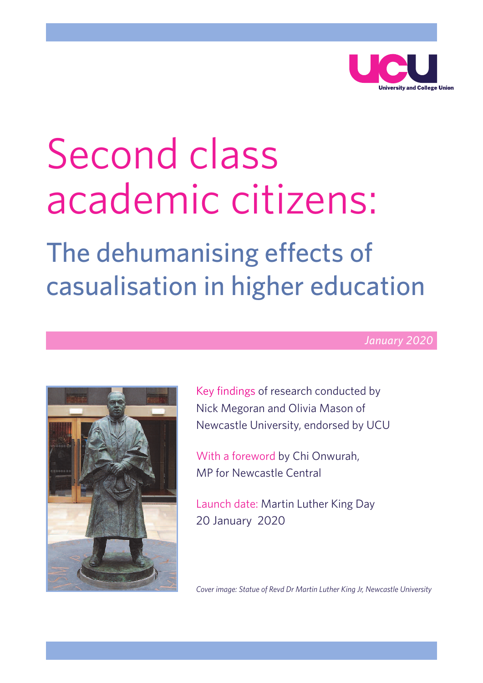

# Second class academic citizens:

# The dehumanising effects of casualisation in higher education

*January 2020*



Key findings of research conducted by Nick Megoran and Olivia Mason of Newcastle University, endorsed by UCU

With a foreword by Chi Onwurah, MP for Newcastle Central

Launch date: Martin Luther King Day 20 January 2020

*Cover image: Statue of Revd Dr Martin Luther King Jr, Newcastle University*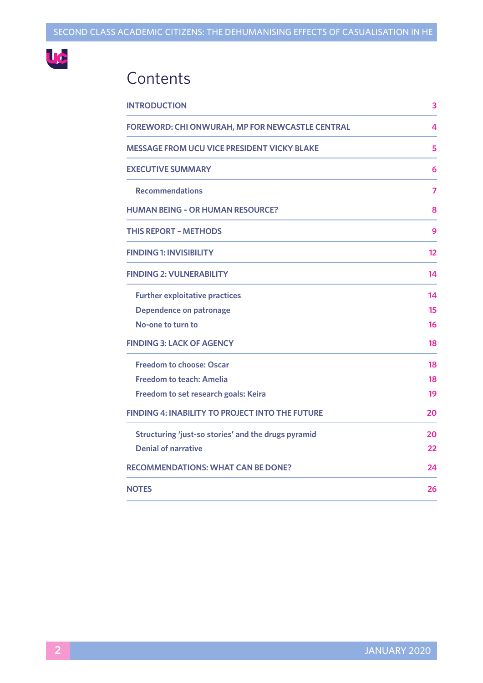

# **Contents**

| <b>INTRODUCTION</b>                                    | 3  |
|--------------------------------------------------------|----|
| <b>FOREWORD: CHI ONWURAH, MP FOR NEWCASTLE CENTRAL</b> | 4  |
| <b>MESSAGE FROM UCU VICE PRESIDENT VICKY BLAKE</b>     | 5  |
| <b>EXECUTIVE SUMMARY</b>                               | 6  |
| <b>Recommendations</b>                                 | 7  |
| <b>HUMAN BEING - OR HUMAN RESOURCE?</b>                | 8  |
| <b>THIS REPORT - METHODS</b>                           | 9  |
| <b>FINDING 1: INVISIBILITY</b>                         | 12 |
| <b>FINDING 2: VULNERABILITY</b>                        | 14 |
| <b>Further exploitative practices</b>                  | 14 |
| Dependence on patronage                                | 15 |
| No-one to turn to                                      | 16 |
| <b>FINDING 3: LACK OF AGENCY</b>                       | 18 |
| <b>Freedom to choose: Oscar</b>                        | 18 |
| <b>Freedom to teach: Amelia</b>                        | 18 |
| Freedom to set research goals: Keira                   | 19 |
| <b>FINDING 4: INABILITY TO PROJECT INTO THE FUTURE</b> | 20 |
| Structuring 'just-so stories' and the drugs pyramid    | 20 |
| <b>Denial of narrative</b>                             | 22 |
| <b>RECOMMENDATIONS: WHAT CAN BE DONE?</b>              | 24 |
| <b>NOTES</b>                                           | 26 |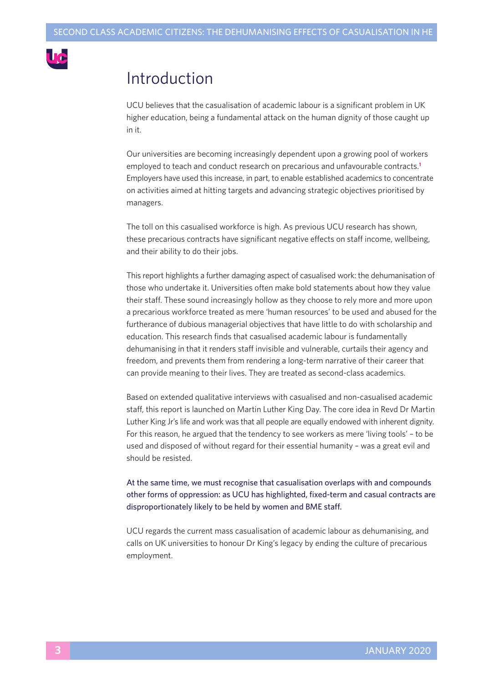

# Introduction

UCU believes that the casualisation of academic labour is a significant problem in UK higher education, being a fundamental attack on the human dignity of those caught up in it.

Our universities are becoming increasingly dependent upon a growing pool of workers employed to teach and conduct research on precarious and unfavourable contracts. **1** Employers have used this increase, in part, to enable established academics to concentrate on activities aimed at hitting targets and advancing strategic objectives prioritised by managers.

The toll on this casualised workforce is high. As previous UCU research has shown, these precarious contracts have significant negative effects on staff income, wellbeing, and their ability to do their jobs.

This report highlights a further damaging aspect of casualised work: the dehumanisation of those who undertake it. Universities often make bold statements about how they value their staff. These sound increasingly hollow as they choose to rely more and more upon a precarious workforce treated as mere 'human resources' to be used and abused for the furtherance of dubious managerial objectives that have little to do with scholarship and education. This research finds that casualised academic labour is fundamentally dehumanising in that it renders staff invisible and vulnerable, curtails their agency and freedom, and prevents them from rendering a long-term narrative of their career that can provide meaning to their lives. They are treated as second-class academics.

Based on extended qualitative interviews with casualised and non-casualised academic staff, this report is launched on Martin Luther King Day. The core idea in Revd Dr Martin Luther King Jr's life and work was that all people are equally endowed with inherent dignity. For this reason, he argued that the tendency to see workers as mere 'living tools' – to be used and disposed of without regard for their essential humanity – was a great evil and should be resisted.

At the same time, we must recognise that casualisation overlaps with and compounds other forms of oppression: as UCU has highlighted, fixed-term and casual contracts are disproportionately likely to be held by women and BME staff.

UCU regards the current mass casualisation of academic labour as dehumanising, and calls on UK universities to honour Dr King's legacy by ending the culture of precarious employment.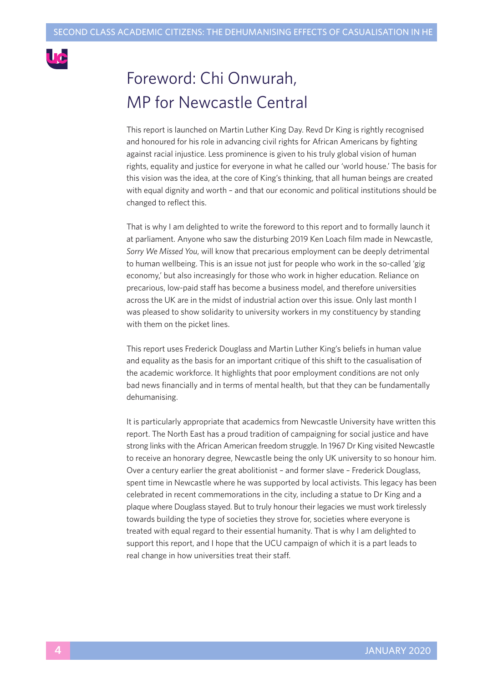

# Foreword: Chi Onwurah, MP for Newcastle Central

This report is launched on Martin Luther King Day. Revd Dr King is rightly recognised and honoured for his role in advancing civil rights for African Americans by fighting against racial injustice. Less prominence is given to his truly global vision of human rights, equality and justice for everyone in what he called our 'world house.' The basis for this vision was the idea, at the core of King's thinking, that all human beings are created with equal dignity and worth – and that our economic and political institutions should be changed to reflect this.

That is why I am delighted to write the foreword to this report and to formally launch it at parliament. Anyone who saw the disturbing 2019 Ken Loach film made in Newcastle, *Sorry We Missed You*, will know that precarious employment can be deeply detrimental to human wellbeing. This is an issue not just for people who work in the so-called 'gig economy,' but also increasingly for those who work in higher education. Reliance on precarious, low-paid staff has become a business model, and therefore universities across the UK are in the midst of industrial action over this issue. Only last month I was pleased to show solidarity to university workers in my constituency by standing with them on the picket lines.

This report uses Frederick Douglass and Martin Luther King's beliefs in human value and equality as the basis for an important critique of this shift to the casualisation of the academic workforce. It highlights that poor employment conditions are not only bad news financially and in terms of mental health, but that they can be fundamentally dehumanising.

It is particularly appropriate that academics from Newcastle University have written this report. The North East has a proud tradition of campaigning for social justice and have strong links with the African American freedom struggle. In 1967 Dr King visited Newcastle to receive an honorary degree, Newcastle being the only UK university to so honour him. Over a century earlier the great abolitionist – and former slave – Frederick Douglass, spent time in Newcastle where he was supported by local activists. This legacy has been celebrated in recent commemorations in the city, including a statue to Dr King and a plaque where Douglass stayed. But to truly honour their legacies we must work tirelessly towards building the type of societies they strove for, societies where everyone is treated with equal regard to their essential humanity. That is why I am delighted to support this report, and I hope that the UCU campaign of which it is a part leads to real change in how universities treat their staff.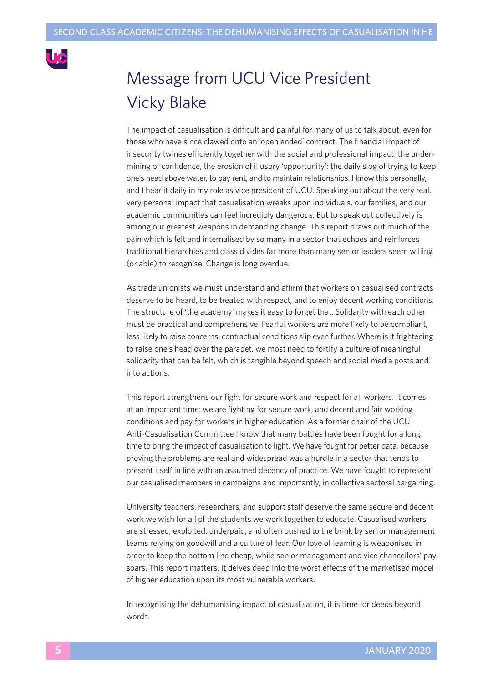

# Message from UCU Vice President Vicky Blake

The impact of casualisation is difficult and painful for many of us to talk about, even for those who have since clawed onto an 'open ended' contract. The financial impact of insecurity twines efficiently together with the social and professional impact: the undermining of confidence, the erosion of illusory 'opportunity'; the daily slog of trying to keep one's head above water, to pay rent, and to maintain relationships. I know this personally, and I hear it daily in my role as vice president of UCU. Speaking out about the very real, very personal impact that casualisation wreaks upon individuals, our families, and our academic communities can feel incredibly dangerous. But to speak out collectively is among our greatest weapons in demanding change. This report draws out much of the pain which is felt and internalised by so many in a sector that echoes and reinforces traditional hierarchies and class divides far more than many senior leaders seem willing (or able) to recognise. Change is long overdue.

As trade unionists we must understand and affirm that workers on casualised contracts deserve to be heard, to be treated with respect, and to enjoy decent working conditions. The structure of 'the academy' makes it easy to forget that. Solidarity with each other must be practical and comprehensive. Fearful workers are more likely to be compliant, less likely to raise concerns: contractual conditions slip even further. Where is it frightening to raise one's head over the parapet, we most need to fortify a culture of meaningful solidarity that can be felt, which is tangible beyond speech and social media posts and into actions.

This report strengthens our fight for secure work and respect for all workers. It comes at an important time: we are fighting for secure work, and decent and fair working conditions and pay for workers in higher education. As a former chair of the UCU Anti-Casualisation Committee I know that many battles have been fought for a long time to bring the impact of casualisation to light. We have fought for better data, because proving the problems are real and widespread was a hurdle in a sector that tends to present itself in line with an assumed decency of practice. We have fought to represent our casualised members in campaigns and importantly, in collective sectoral bargaining.

University teachers, researchers, and support staff deserve the same secure and decent work we wish for all of the students we work together to educate. Casualised workers are stressed, exploited, underpaid, and often pushed to the brink by senior management teams relying on goodwill and a culture of fear. Our love of learning is weaponised in order to keep the bottom line cheap, while senior management and vice chancellors' pay soars. This report matters. It delves deep into the worst effects of the marketised model of higher education upon its most vulnerable workers.

In recognising the dehumanising impact of casualisation, it is time for deeds beyond words.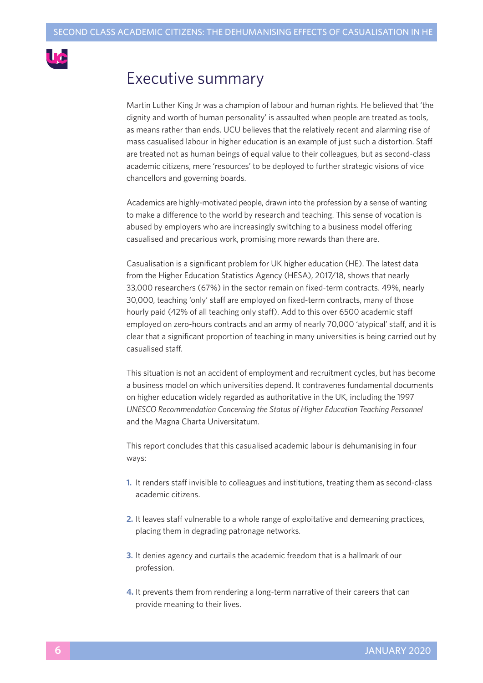

# Executive summary

Martin Luther King Jr was a champion of labour and human rights. He believed that 'the dignity and worth of human personality' is assaulted when people are treated as tools, as means rather than ends. UCU believes that the relatively recent and alarming rise of mass casualised labour in higher education is an example of just such a distortion. Staff are treated not as human beings of equal value to their colleagues, but as second-class academic citizens, mere 'resources' to be deployed to further strategic visions of vice chancellors and governing boards.

Academics are highly-motivated people, drawn into the profession by a sense of wanting to make a difference to the world by research and teaching. This sense of vocation is abused by employers who are increasingly switching to a business model offering casualised and precarious work, promising more rewards than there are.

Casualisation is a significant problem for UK higher education (HE). The latest data from the Higher Education Statistics Agency (HESA), 2017/18, shows that nearly 33,000 researchers (67%) in the sector remain on fixed-term contracts. 49%, nearly 30,000, teaching 'only' staff are employed on fixed-term contracts, many of those hourly paid (42% of all teaching only staff). Add to this over 6500 academic staff employed on zero-hours contracts and an army of nearly 70,000 'atypical' staff, and it is clear that a significant proportion of teaching in many universities is being carried out by casualised staff.

This situation is not an accident of employment and recruitment cycles, but has become a business model on which universities depend. It contravenes fundamental documents on higher education widely regarded as authoritative in the UK, including the 1997 *UNESCO Recommendation Concerning the Status of Higher Education Teaching Personnel* and the Magna Charta Universitatum.

This report concludes that this casualised academic labour is dehumanising in four ways:

- **1.** It renders staff invisible to colleagues and institutions, treating them as second-class academic citizens.
- **2.** It leaves staff vulnerable to a whole range of exploitative and demeaning practices, placing them in degrading patronage networks.
- **3.** It denies agency and curtails the academic freedom that is a hallmark of our profession.
- **4.** It prevents them from rendering a long-term narrative of their careers that can provide meaning to their lives.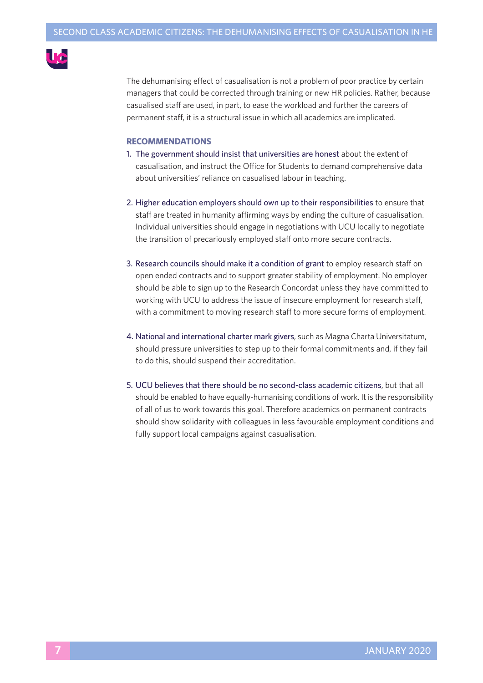

The dehumanising effect of casualisation is not a problem of poor practice by certain managers that could be corrected through training or new HR policies. Rather, because casualised staff are used, in part, to ease the workload and further the careers of permanent staff, it is a structural issue in which all academics are implicated.

#### **RECOMMENDATIONS**

- 1. The government should insist that universities are honest about the extent of casualisation, and instruct the Office for Students to demand comprehensive data about universities' reliance on casualised labour in teaching.
- 2. Higher education employers should own up to their responsibilities to ensure that staff are treated in humanity affirming ways by ending the culture of casualisation. Individual universities should engage in negotiations with UCU locally to negotiate the transition of precariously employed staff onto more secure contracts.
- 3. Research councils should make it a condition of grant to employ research staff on open ended contracts and to support greater stability of employment. No employer should be able to sign up to the Research Concordat unless they have committed to working with UCU to address the issue of insecure employment for research staff, with a commitment to moving research staff to more secure forms of employment.
- 4. National and international charter mark givers, such as Magna Charta Universitatum, should pressure universities to step up to their formal commitments and, if they fail to do this, should suspend their accreditation.
- 5. UCU believes that there should be no second-class academic citizens, but that all should be enabled to have equally-humanising conditions of work. It is the responsibility of all of us to work towards this goal. Therefore academics on permanent contracts should show solidarity with colleagues in less favourable employment conditions and fully support local campaigns against casualisation.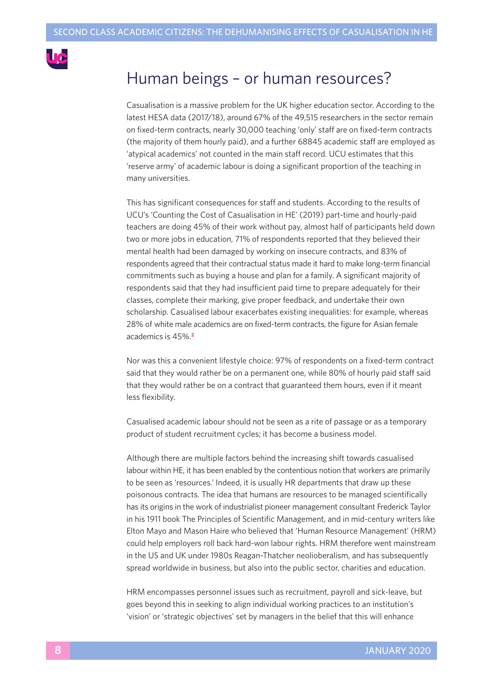

# Human beings – or human resources?

Casualisation is a massive problem for the UK higher education sector. According to the latest HESA data (2017/18), around 67% of the 49,515 researchers in the sector remain on fixed-term contracts, nearly 30,000 teaching 'only' staff are on fixed-term contracts (the majority of them hourly paid), and a further 68845 academic staff are employed as 'atypical academics' not counted in the main staff record. UCU estimates that this 'reserve army' of academic labour is doing a significant proportion of the teaching in many universities.

This has significant consequences for staff and students. According to the results of UCU's 'Counting the Cost of Casualisation in HE' (2019) part-time and hourly-paid teachers are doing 45% of their work without pay, almost half of participants held down two or more jobs in education, 71% of respondents reported that they believed their mental health had been damaged by working on insecure contracts, and 83% of respondents agreed that their contractual status made it hard to make long-term financial commitments such as buying a house and plan for a family. A significant majority of respondents said that they had insufficient paid time to prepare adequately for their classes, complete their marking, give proper feedback, and undertake their own scholarship. Casualised labour exacerbates existing inequalities: for example, whereas 28% of white male academics are on fixed-term contracts, the figure for Asian female academics is 45%. **2**

Nor was this a convenient lifestyle choice: 97% of respondents on a fixed-term contract said that they would rather be on a permanent one, while 80% of hourly paid staff said that they would rather be on a contract that guaranteed them hours, even if it meant less flexibility.

Casualised academic labour should not be seen as a rite of passage or as a temporary product of student recruitment cycles; it has become a business model.

Although there are multiple factors behind the increasing shift towards casualised labour within HE, it has been enabled by the contentious notion that workers are primarily to be seen as 'resources.' Indeed, it is usually HR departments that draw up these poisonous contracts. The idea that humans are resources to be managed scientifically has its origins in the work of industrialist pioneer management consultant Frederick Taylor in his 1911 book The Principles of Scientific Management, and in mid-century writers like Elton Mayo and Mason Haire who believed that 'Human Resource Management' (HRM) could help employers roll back hard-won labour rights. HRM therefore went mainstream in the US and UK under 1980s Reagan-Thatcher neolioberalism, and has subsequently spread worldwide in business, but also into the public sector, charities and education.

HRM encompasses personnel issues such as recruitment, payroll and sick-leave, but goes beyond this in seeking to align individual working practices to an institution's 'vision' or 'strategic objectives' set by managers in the belief that this will enhance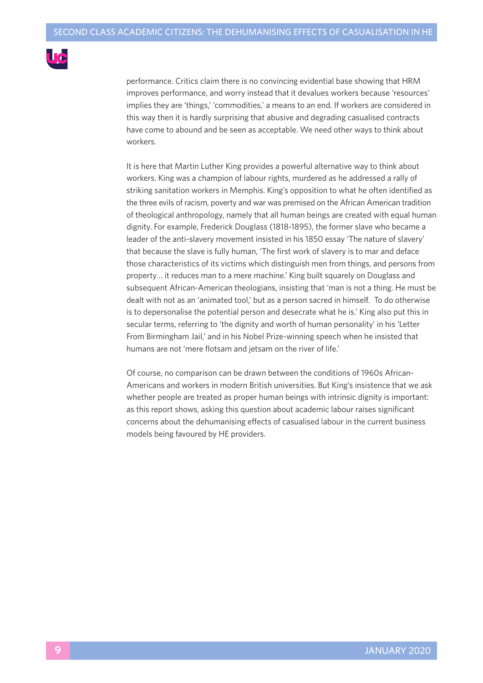

performance. Critics claim there is no convincing evidential base showing that HRM improves performance, and worry instead that it devalues workers because 'resources' implies they are 'things,' 'commodities,' a means to an end. If workers are considered in this way then it is hardly surprising that abusive and degrading casualised contracts have come to abound and be seen as acceptable. We need other ways to think about workers.

It is here that Martin Luther King provides a powerful alternative way to think about workers. King was a champion of labour rights, murdered as he addressed a rally of striking sanitation workers in Memphis. King's opposition to what he often identified as the three evils of racism, poverty and war was premised on the African American tradition of theological anthropology, namely that all human beings are created with equal human dignity. For example, Frederick Douglass (1818-1895), the former slave who became a leader of the anti-slavery movement insisted in his 1850 essay 'The nature of slavery' that because the slave is fully human, 'The first work of slavery is to mar and deface those characteristics of its victims which distinguish men from things, and persons from property… it reduces man to a mere machine.' King built squarely on Douglass and subsequent African-American theologians, insisting that 'man is not a thing. He must be dealt with not as an 'animated tool,' but as a person sacred in himself. To do otherwise is to depersonalise the potential person and desecrate what he is.' King also put this in secular terms, referring to 'the dignity and worth of human personality' in his 'Letter From Birmingham Jail,' and in his Nobel Prize-winning speech when he insisted that humans are not 'mere flotsam and jetsam on the river of life.'

Of course, no comparison can be drawn between the conditions of 1960s African-Americans and workers in modern British universities. But King's insistence that we ask whether people are treated as proper human beings with intrinsic dignity is important: as this report shows, asking this question about academic labour raises significant concerns about the dehumanising effects of casualised labour in the current business models being favoured by HE providers.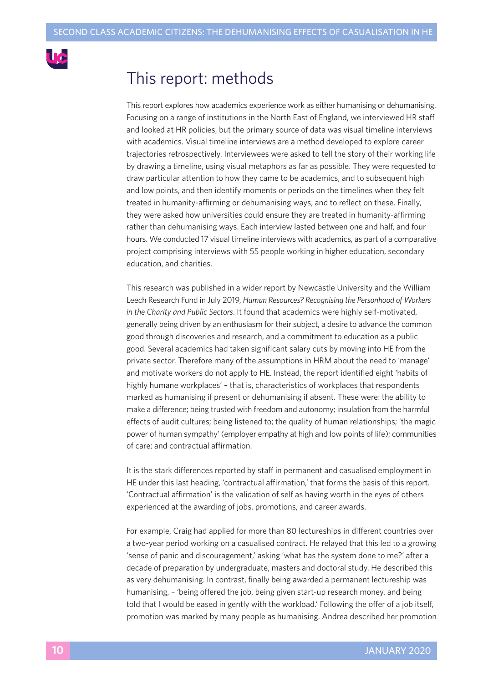

# This report: methods

This report explores how academics experience work as either humanising or dehumanising. Focusing on a range of institutions in the North East of England, we interviewed HR staff and looked at HR policies, but the primary source of data was visual timeline interviews with academics. Visual timeline interviews are a method developed to explore career trajectories retrospectively. Interviewees were asked to tell the story of their working life by drawing a timeline, using visual metaphors as far as possible. They were requested to draw particular attention to how they came to be academics, and to subsequent high and low points, and then identify moments or periods on the timelines when they felt treated in humanity-affirming or dehumanising ways, and to reflect on these. Finally, they were asked how universities could ensure they are treated in humanity-affirming rather than dehumanising ways. Each interview lasted between one and half, and four hours. We conducted 17 visual timeline interviews with academics, as part of a comparative project comprising interviews with 55 people working in higher education, secondary education, and charities.

This research was published in a wider report by Newcastle University and the William Leech Research Fund in July 2019, *Human Resources? Recognising the Personhood of Workers in the Charity and Public Sectors*. It found that academics were highly self-motivated, generally being driven by an enthusiasm for their subject, a desire to advance the common good through discoveries and research, and a commitment to education as a public good. Several academics had taken significant salary cuts by moving into HE from the private sector. Therefore many of the assumptions in HRM about the need to 'manage' and motivate workers do not apply to HE. Instead, the report identified eight 'habits of highly humane workplaces' – that is, characteristics of workplaces that respondents marked as humanising if present or dehumanising if absent. These were: the ability to make a difference; being trusted with freedom and autonomy; insulation from the harmful effects of audit cultures; being listened to; the quality of human relationships; 'the magic power of human sympathy'(employer empathy at high and low points of life); communities of care; and contractual affirmation.

It is the stark differences reported by staff in permanent and casualised employment in HE under this last heading, 'contractual affirmation,' that forms the basis of this report. 'Contractual affirmation' is the validation of self as having worth in the eyes of others experienced at the awarding of jobs, promotions, and career awards.

For example, Craig had applied for more than 80 lectureships in different countries over a two-year period working on a casualised contract. He relayed that this led to a growing 'sense of panic and discouragement,' asking 'what has the system done to me?' after a decade of preparation by undergraduate, masters and doctoral study. He described this as very dehumanising. In contrast, finally being awarded a permanent lectureship was humanising, – 'being offered the job, being given start-up research money, and being told that I would be eased in gently with the workload.' Following the offer of a job itself, promotion was marked by many people as humanising. Andrea described her promotion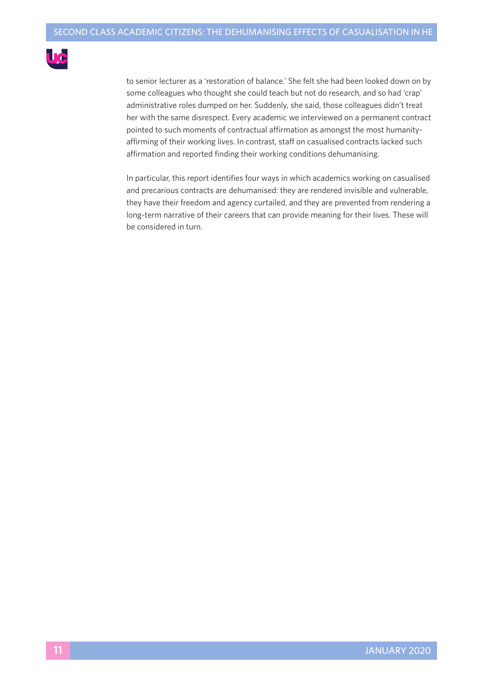

to senior lecturer as a 'restoration of balance.' She felt she had been looked down on by some colleagues who thought she could teach but not do research, and so had 'crap' administrative roles dumped on her. Suddenly, she said, those colleagues didn't treat her with the same disrespect. Every academic we interviewed on a permanent contract pointed to such moments of contractual affirmation as amongst the most humanityaffirming of their working lives. In contrast, staff on casualised contracts lacked such affirmation and reported finding their working conditions dehumanising.

In particular, this report identifies four ways in which academics working on casualised and precarious contracts are dehumanised: they are rendered invisible and vulnerable, they have their freedom and agency curtailed, and they are prevented from rendering a long-term narrative of their careers that can provide meaning for their lives. These will be considered in turn.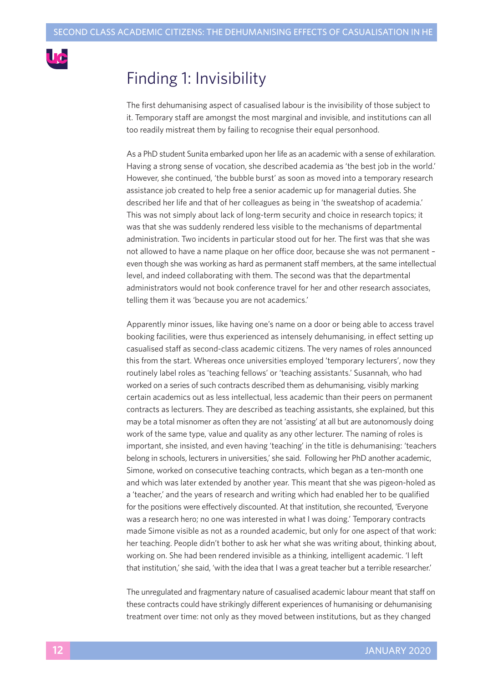

# Finding 1: Invisibility

The first dehumanising aspect of casualised labour is the invisibility of those subject to it. Temporary staff are amongst the most marginal and invisible, and institutions can all too readily mistreat them by failing to recognise their equal personhood.

As a PhD student Sunita embarked upon her life as an academic with a sense of exhilaration. Having a strong sense of vocation, she described academia as 'the best job in the world.' However, she continued, 'the bubble burst' as soon as moved into a temporary research assistance job created to help free a senior academic up for managerial duties. She described her life and that of her colleagues as being in 'the sweatshop of academia.' This was not simply about lack of long-term security and choice in research topics; it was that she was suddenly rendered less visible to the mechanisms of departmental administration. Two incidents in particular stood out for her. The first was that she was not allowed to have a name plaque on her office door, because she was not permanent – even though she was working as hard as permanent staff members, at the same intellectual level, and indeed collaborating with them. The second was that the departmental administrators would not book conference travel for her and other research associates, telling them it was 'because you are not academics.'

Apparently minor issues, like having one's name on a door or being able to access travel booking facilities, were thus experienced as intensely dehumanising, in effect setting up casualised staff as second-class academic citizens. The very names of roles announced this from the start. Whereas once universities employed 'temporary lecturers', now they routinely label roles as 'teaching fellows' or 'teaching assistants.' Susannah, who had worked on a series of such contracts described them as dehumanising, visibly marking certain academics out as less intellectual, less academic than their peers on permanent contracts as lecturers. They are described as teaching assistants, she explained, but this may be a total misnomer as often they are not 'assisting' at all but are autonomously doing work of the same type, value and quality as any other lecturer. The naming of roles is important, she insisted, and even having 'teaching' in the title is dehumanising: 'teachers belong in schools, lecturers in universities,' she said. Following her PhD another academic, Simone, worked on consecutive teaching contracts, which began as a ten-month one and which was later extended by another year. This meant that she was pigeon-holed as a 'teacher,' and the years of research and writing which had enabled her to be qualified for the positions were effectively discounted. At that institution, she recounted, 'Everyone was a research hero; no one was interested in what I was doing.' Temporary contracts made Simone visible as not as a rounded academic, but only for one aspect of that work: her teaching. People didn't bother to ask her what she was writing about, thinking about, working on. She had been rendered invisible as a thinking, intelligent academic. 'I left that institution,' she said, 'with the idea that I was a great teacher but a terrible researcher.'

The unregulated and fragmentary nature of casualised academic labour meant that staff on these contracts could have strikingly different experiences of humanising or dehumanising treatment over time: not only as they moved between institutions, but as they changed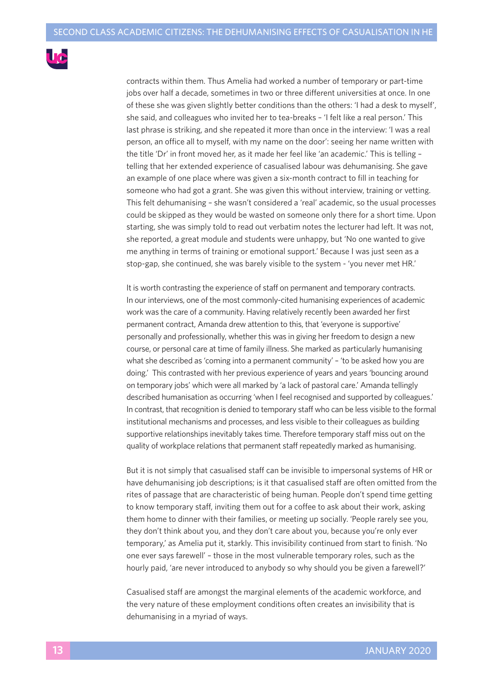

contracts within them. Thus Amelia had worked a number of temporary or part-time jobs over half a decade, sometimes in two or three different universities at once. In one of these she was given slightly better conditions than the others: 'I had a desk to myself', she said, and colleagues who invited her to tea-breaks – 'I felt like a real person.' This last phrase is striking, and she repeated it more than once in the interview: 'I was a real person, an office all to myself, with my name on the door': seeing her name written with the title 'Dr' in front moved her, as it made her feel like 'an academic.' This is telling – telling that her extended experience of casualised labour was dehumanising. She gave an example of one place where was given a six-month contract to fill in teaching for someone who had got a grant. She was given this without interview, training or vetting. This felt dehumanising – she wasn't considered a 'real' academic, so the usual processes could be skipped as they would be wasted on someone only there for a short time. Upon starting, she was simply told to read out verbatim notes the lecturer had left. It was not, she reported, a great module and students were unhappy, but 'No one wanted to give me anything in terms of training or emotional support.' Because I was just seen as a stop-gap, she continued, she was barely visible to the system - 'you never met HR.'

It is worth contrasting the experience of staff on permanent and temporary contracts. In our interviews, one of the most commonly-cited humanising experiences of academic work was the care of a community. Having relatively recently been awarded her first permanent contract, Amanda drew attention to this, that 'everyone is supportive' personally and professionally, whether this was in giving her freedom to design a new course, or personal care at time of family illness. She marked as particularly humanising what she described as 'coming into a permanent community' – 'to be asked how you are doing.' This contrasted with her previous experience of years and years 'bouncing around on temporary jobs' which were all marked by 'a lack of pastoral care.' Amanda tellingly described humanisation as occurring 'when I feel recognised and supported by colleagues.' In contrast, that recognition is denied to temporary staff who can be less visible to the formal institutional mechanisms and processes, and less visible to their colleagues as building supportive relationships inevitably takes time. Therefore temporary staff miss out on the quality of workplace relations that permanent staff repeatedly marked as humanising.

But it is not simply that casualised staff can be invisible to impersonal systems of HR or have dehumanising job descriptions; is it that casualised staff are often omitted from the rites of passage that are characteristic of being human. People don't spend time getting to know temporary staff, inviting them out for a coffee to ask about their work, asking them home to dinner with their families, or meeting up socially. 'People rarely see you, they don't think about you, and they don't care about you, because you're only ever temporary,' as Amelia put it, starkly. This invisibility continued from start to finish. 'No one ever says farewell' – those in the most vulnerable temporary roles, such as the hourly paid, 'are never introduced to anybody so why should you be given a farewell?'

Casualised staff are amongst the marginal elements of the academic workforce, and the very nature of these employment conditions often creates an invisibility that is dehumanising in a myriad of ways.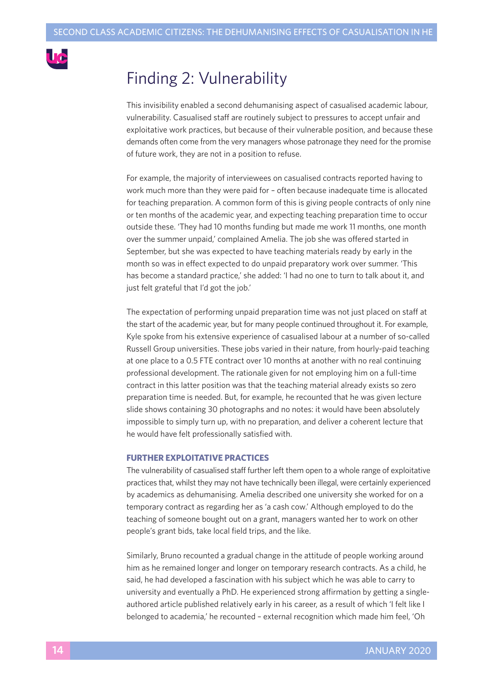

# Finding 2: Vulnerability

This invisibility enabled a second dehumanising aspect of casualised academic labour, vulnerability. Casualised staff are routinely subject to pressures to accept unfair and exploitative work practices, but because of their vulnerable position, and because these demands often come from the very managers whose patronage they need for the promise of future work, they are not in a position to refuse.

For example, the majority of interviewees on casualised contracts reported having to work much more than they were paid for – often because inadequate time is allocated for teaching preparation. A common form of this is giving people contracts of only nine or ten months of the academic year, and expecting teaching preparation time to occur outside these. 'They had 10 months funding but made me work 11 months, one month over the summer unpaid,' complained Amelia. The job she was offered started in September, but she was expected to have teaching materials ready by early in the month so was in effect expected to do unpaid preparatory work over summer. 'This has become a standard practice,' she added: 'I had no one to turn to talk about it, and just felt grateful that I'd got the job.'

The expectation of performing unpaid preparation time was not just placed on staff at the start of the academic year, but for many people continued throughout it. For example, Kyle spoke from his extensive experience of casualised labour at a number of so-called Russell Group universities. These jobs varied in their nature, from hourly-paid teaching at one place to a 0.5 FTE contract over 10 months at another with no real continuing professional development. The rationale given for not employing him on a full-time contract in this latter position was that the teaching material already exists so zero preparation time is needed. But, for example, he recounted that he was given lecture slide shows containing 30 photographs and no notes: it would have been absolutely impossible to simply turn up, with no preparation, and deliver a coherent lecture that he would have felt professionally satisfied with.

#### **FURTHER EXPLOITATIVE PRACTICES**

The vulnerability of casualised staff further left them open to a whole range of exploitative practices that, whilst they may not have technically been illegal, were certainly experienced by academics as dehumanising. Amelia described one university she worked for on a temporary contract as regarding her as 'a cash cow.' Although employed to do the teaching of someone bought out on a grant, managers wanted her to work on other people's grant bids, take local field trips, and the like.

Similarly, Bruno recounted a gradual change in the attitude of people working around him as he remained longer and longer on temporary research contracts. As a child, he said, he had developed a fascination with his subject which he was able to carry to university and eventually a PhD. He experienced strong affirmation by getting a singleauthored article published relatively early in his career, as a result of which 'I felt like I belonged to academia,' he recounted – external recognition which made him feel, 'Oh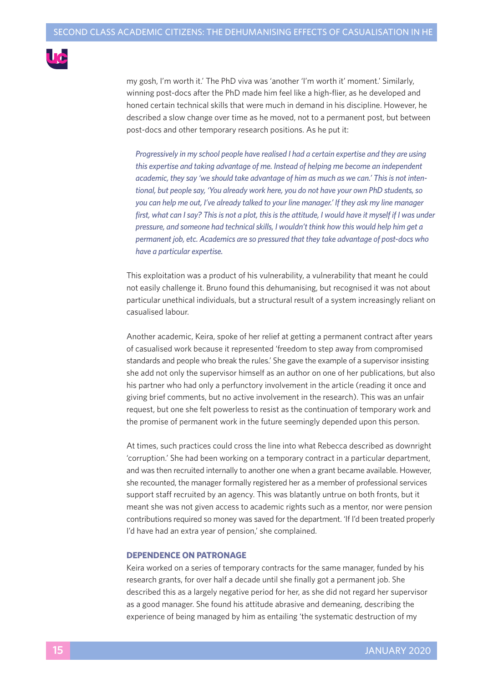

my gosh, I'm worth it.' The PhD viva was 'another 'I'm worth it' moment.' Similarly, winning post-docs after the PhD made him feel like a high-flier, as he developed and honed certain technical skills that were much in demand in his discipline. However, he described a slow change over time as he moved, not to a permanent post, but between post-docs and other temporary research positions. As he put it:

*Progressively in my school people have realised I had a certain expertise and they are using this expertise and taking advantage of me. Instead of helping me become an independent academic, they say 'we should take advantage of him as much as we can.' Thisis not intentional, but people say, 'You already work here, you do not have your own PhD students,so you can help me out, I've already talked to your line manager.' If they ask my line manager* first, what can I say? This is not a plot, this is the attitude, I would have it myself if I was under *pressure, and someone had technicalskills, I wouldn't think how this would help him get a permanent job, etc. Academics are so pressured that they take advantage of post-docs who have a particular expertise.*

This exploitation was a product of his vulnerability, a vulnerability that meant he could not easily challenge it. Bruno found this dehumanising, but recognised it was not about particular unethical individuals, but a structural result of a system increasingly reliant on casualised labour.

Another academic, Keira, spoke of her relief at getting a permanent contract after years of casualised work because it represented 'freedom to step away from compromised standards and people who break the rules.' She gave the example of a supervisor insisting she add not only the supervisor himself as an author on one of her publications, but also his partner who had only a perfunctory involvement in the article (reading it once and giving brief comments, but no active involvement in the research). This was an unfair request, but one she felt powerless to resist as the continuation of temporary work and the promise of permanent work in the future seemingly depended upon this person.

At times, such practices could cross the line into what Rebecca described as downright 'corruption.' She had been working on a temporary contract in a particular department, and was then recruited internally to another one when a grant became available. However, she recounted, the manager formally registered her as a member of professional services support staff recruited by an agency. This was blatantly untrue on both fronts, but it meant she was not given access to academic rights such as a mentor, nor were pension contributions required so money was saved for the department. 'If I'd been treated properly I'd have had an extra year of pension,' she complained.

#### **DEPENDENCE ON PATRONAGE**

Keira worked on a series of temporary contracts for the same manager, funded by his research grants, for over half a decade until she finally got a permanent job. She described this as a largely negative period for her, as she did not regard her supervisor as a good manager. She found his attitude abrasive and demeaning, describing the experience of being managed by him as entailing 'the systematic destruction of my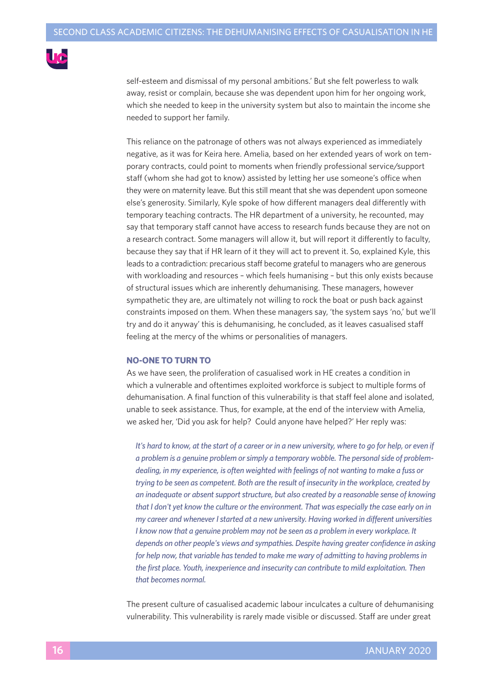

self-esteem and dismissal of my personal ambitions.' But she felt powerless to walk away, resist or complain, because she was dependent upon him for her ongoing work, which she needed to keep in the university system but also to maintain the income she needed to support her family.

This reliance on the patronage of others was not always experienced as immediately negative, as it was for Keira here. Amelia, based on her extended years of work on temporary contracts, could point to moments when friendly professional service/support staff (whom she had got to know) assisted by letting her use someone's office when they were on maternity leave. But this still meant that she was dependent upon someone else's generosity. Similarly, Kyle spoke of how different managers deal differently with temporary teaching contracts. The HR department of a university, he recounted, may say that temporary staff cannot have access to research funds because they are not on a research contract. Some managers will allow it, but will report it differently to faculty, because they say that if HR learn of it they will act to prevent it. So, explained Kyle, this leads to a contradiction: precarious staff become grateful to managers who are generous with workloading and resources – which feels humanising – but this only exists because of structural issues which are inherently dehumanising. These managers, however sympathetic they are, are ultimately not willing to rock the boat or push back against constraints imposed on them. When these managers say, 'the system says 'no,' but we'll try and do it anyway' this is dehumanising, he concluded, as it leaves casualised staff feeling at the mercy of the whims or personalities of managers.

#### **NO-ONE TO TURN TO**

As we have seen, the proliferation of casualised work in HE creates a condition in which a vulnerable and oftentimes exploited workforce is subject to multiple forms of dehumanisation. A final function of this vulnerability is that staff feel alone and isolated, unable to seek assistance. Thus, for example, at the end of the interview with Amelia, we asked her, 'Did you ask for help? Could anyone have helped?' Her reply was:

It's hard to know, at the start of a career or in a new university, where to go for help, or even if *a problem is a genuine problem orsimply a temporary wobble. The personalside of problemdealing, in my experience, is often weighted with feelings of not wanting to make a fuss or trying to be seen as competent. Both are the result of insecurity in the workplace, created by an inadequate or absentsupportstructure, but also created by a reasonable sense of knowing that I don't yet know the culture or the environment. That was especially the case early on in my career and whenever Istarted at a new university. Having worked in different universities I know now that a genuine problem may not be seen as a problem in every workplace. It depends on other people's views and sympathies. Despite having greater confidence in asking for help now, that variable hastended to make me wary of admitting to having problemsin the first place. Youth, inexperience and insecurity can contribute to mild exploitation. Then that becomes normal.*

The present culture of casualised academic labour inculcates a culture of dehumanising vulnerability. This vulnerability is rarely made visible or discussed. Staff are under great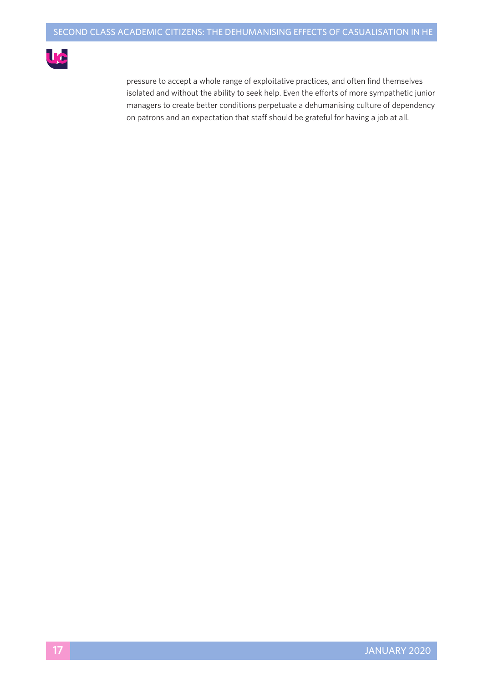

pressure to accept a whole range of exploitative practices, and often find themselves isolated and without the ability to seek help. Even the efforts of more sympathetic junior managers to create better conditions perpetuate a dehumanising culture of dependency on patrons and an expectation that staff should be grateful for having a job at all.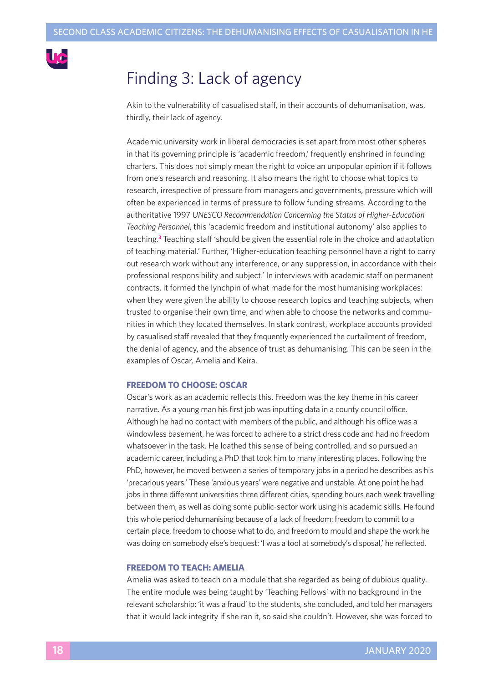

# Finding 3: Lack of agency

Akin to the vulnerability of casualised staff, in their accounts of dehumanisation, was, thirdly, their lack of agency.

Academic university work in liberal democracies is set apart from most other spheres in that its governing principle is 'academic freedom,' frequently enshrined in founding charters. This does not simply mean the right to voice an unpopular opinion if it follows from one's research and reasoning. It also means the right to choose what topics to research, irrespective of pressure from managers and governments, pressure which will often be experienced in terms of pressure to follow funding streams. According to the authoritative 1997 *UNESCO Recommendation Concerning the Status of Higher-Education Teaching Personnel*, this 'academic freedom and institutional autonomy' also applies to teaching. **<sup>3</sup>** Teaching staff 'should be given the essential role in the choice and adaptation of teaching material.' Further, 'Higher-education teaching personnel have a right to carry out research work without any interference, or any suppression, in accordance with their professional responsibility and subject.' In interviews with academic staff on permanent contracts, it formed the lynchpin of what made for the most humanising workplaces: when they were given the ability to choose research topics and teaching subjects, when trusted to organise their own time, and when able to choose the networks and communities in which they located themselves. In stark contrast, workplace accounts provided by casualised staff revealed that they frequently experienced the curtailment of freedom, the denial of agency, and the absence of trust as dehumanising. This can be seen in the examples of Oscar, Amelia and Keira.

#### **FREEDOM TO CHOOSE: OSCAR**

Oscar's work as an academic reflects this. Freedom was the key theme in his career narrative. As a young man his first job was inputting data in a county council office. Although he had no contact with members of the public, and although his office was a windowless basement, he was forced to adhere to a strict dress code and had no freedom whatsoever in the task. He loathed this sense of being controlled, and so pursued an academic career, including a PhD that took him to many interesting places. Following the PhD, however, he moved between a series of temporary jobs in a period he describes as his 'precarious years.' These 'anxious years' were negative and unstable. At one point he had jobs in three different universities three different cities, spending hours each week travelling between them, as well as doing some public-sector work using his academic skills. He found this whole period dehumanising because of a lack of freedom: freedom to commit to a certain place, freedom to choose what to do, and freedom to mould and shape the work he was doing on somebody else's bequest: 'I was a tool at somebody's disposal,' he reflected.

#### **FREEDOM TO TEACH: AMELIA**

Amelia was asked to teach on a module that she regarded as being of dubious quality. The entire module was being taught by 'Teaching Fellows' with no background in the relevant scholarship: 'it was a fraud' to the students, she concluded, and told her managers that it would lack integrity if she ran it, so said she couldn't. However, she was forced to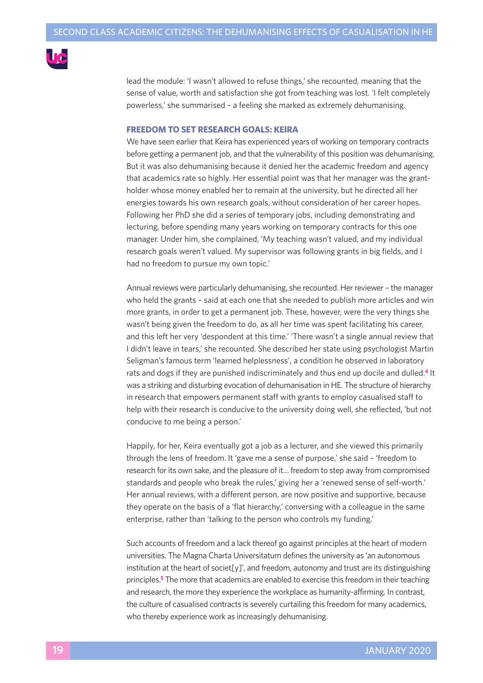

lead the module: 'I wasn't allowed to refuse things,' she recounted, meaning that the sense of value, worth and satisfaction she got from teaching was lost. 'I felt completely powerless,' she summarised – a feeling she marked as extremely dehumanising.

#### **FREEDOM TO SET RESEARCH GOALS: KEIRA**

We have seen earlier that Keira has experienced years of working on temporary contracts before getting a permanent job, and that the vulnerability of this position was dehumanising. But it was also dehumanising because it denied her the academic freedom and agency that academics rate so highly. Her essential point was that her manager was the grantholder whose money enabled her to remain at the university, but he directed all her energies towards his own research goals, without consideration of her career hopes. Following her PhD she did a series of temporary jobs, including demonstrating and lecturing, before spending many years working on temporary contracts for this one manager. Under him, she complained, 'My teaching wasn't valued, and my individual research goals weren't valued. My supervisor was following grants in big fields, and I had no freedom to pursue my own topic.'

Annual reviews were particularly dehumanising, she recounted. Her reviewer – the manager who held the grants – said at each one that she needed to publish more articles and win more grants, in order to get a permanent job. These, however, were the very things she wasn't being given the freedom to do, as all her time was spent facilitating his career, and this left her very 'despondent at this time.' 'There wasn't a single annual review that I didn't leave in tears,' she recounted. She described her state using psychologist Martin Seligman's famous term 'learned helplessness', a condition he observed in laboratory rats and dogs if they are punished indiscriminately and thus end up docile and dulled. **<sup>4</sup>** It was a striking and disturbing evocation of dehumanisation in HE. The structure of hierarchy in research that empowers permanent staff with grants to employ casualised staff to help with their research is conducive to the university doing well, she reflected, 'but not conducive to me being a person.'

Happily, for her, Keira eventually got a job as a lecturer, and she viewed this primarily through the lens of freedom. It 'gave me a sense of purpose,' she said – 'freedom to research for its own sake, and the pleasure of it… freedom to step away from compromised standards and people who break the rules,' giving her a 'renewed sense of self-worth.' Her annual reviews, with a different person, are now positive and supportive, because they operate on the basis of a 'flat hierarchy,' conversing with a colleague in the same enterprise, rather than 'talking to the person who controls my funding.'

Such accounts of freedom and a lack thereof go against principles at the heart of modern universities. The Magna Charta Universitatum defines the university as 'an autonomous institution at the heart of societ[y]', and freedom, autonomy and trust are its distinguishing principles. **<sup>5</sup>** The more that academics are enabled to exercise this freedom in their teaching and research, the more they experience the workplace as humanity-affirming. In contrast, the culture of casualised contracts is severely curtailing this freedom for many academics, who thereby experience work as increasingly dehumanising.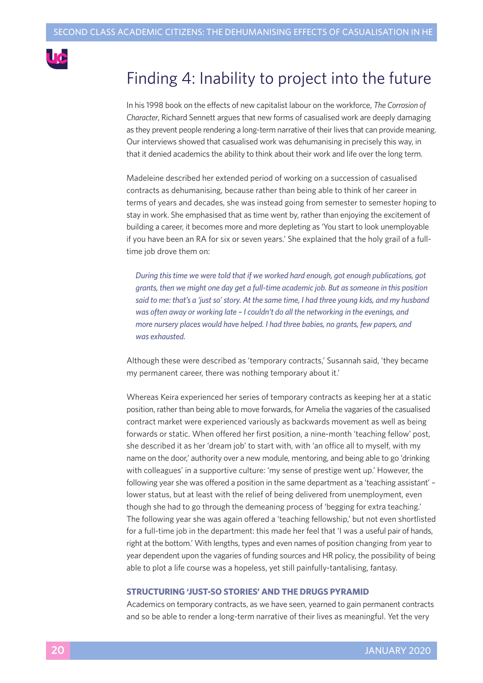

# Finding 4: Inability to project into the future

In his 1998 book on the effects of new capitalist labour on the workforce, *The Corrosion of Character*, Richard Sennett argues that new forms of casualised work are deeply damaging as they prevent people rendering a long-term narrative of their lives that can provide meaning. Our interviews showed that casualised work was dehumanising in precisely this way, in that it denied academics the ability to think about their work and life over the long term.

Madeleine described her extended period of working on a succession of casualised contracts as dehumanising, because rather than being able to think of her career in terms of years and decades, she was instead going from semester to semester hoping to stay in work. She emphasised that as time went by, rather than enjoying the excitement of building a career, it becomes more and more depleting as 'You start to look unemployable if you have been an RA for six or seven years.' She explained that the holy grail of a fulltime job drove them on:

*During thistime we were told that if we worked hard enough, got enough publications, got grants, then we might one day get a full-time academic job. But assomeone in this position said to me: that's a 'justso'story. At the same time, I had three young kids, and my husband was often away or working late – I couldn't do all the networking in the evenings, and more nursery places would have helped. I had three babies, no grants, few papers, and was exhausted.*

Although these were described as 'temporary contracts,' Susannah said, 'they became my permanent career, there was nothing temporary about it.'

Whereas Keira experienced her series of temporary contracts as keeping her at a static position, rather than being able to move forwards, for Amelia the vagaries of the casualised contract market were experienced variously as backwards movement as well as being forwards or static. When offered her first position, a nine-month 'teaching fellow' post, she described it as her 'dream job' to start with, with 'an office all to myself, with my name on the door,' authority over a new module, mentoring, and being able to go 'drinking with colleagues' in a supportive culture: 'my sense of prestige went up.' However, the following year she was offered a position in the same department as a 'teaching assistant' – lower status, but at least with the relief of being delivered from unemployment, even though she had to go through the demeaning process of 'begging for extra teaching.' The following year she was again offered a 'teaching fellowship,' but not even shortlisted for a full-time job in the department: this made her feel that 'I was a useful pair of hands, right at the bottom.' With lengths, types and even names of position changing from year to year dependent upon the vagaries of funding sources and HR policy, the possibility of being able to plot a life course was a hopeless, yet still painfully-tantalising, fantasy.

#### **STRUCTURING 'JUST-SO STORIES' AND THE DRUGS PYRAMID**

Academics on temporary contracts, as we have seen, yearned to gain permanent contracts and so be able to render a long-term narrative of their lives as meaningful. Yet the very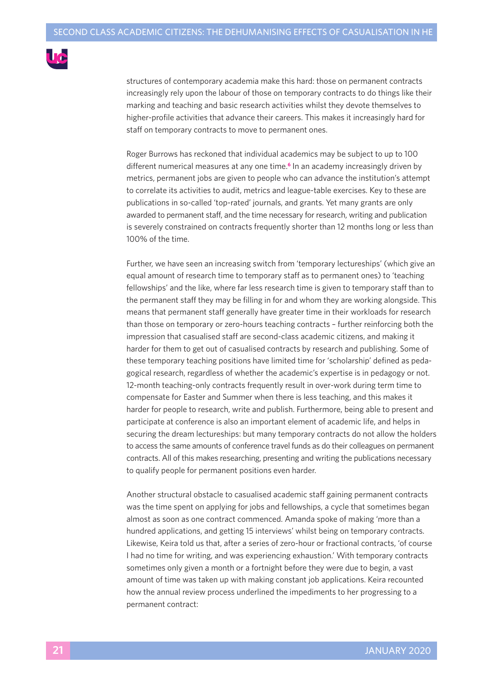

structures of contemporary academia make this hard: those on permanent contracts increasingly rely upon the labour of those on temporary contracts to do things like their marking and teaching and basic research activities whilst they devote themselves to higher-profile activities that advance their careers. This makes it increasingly hard for staff on temporary contracts to move to permanent ones.

Roger Burrows has reckoned that individual academics may be subject to up to 100 different numerical measures at any one time. **<sup>6</sup>** In an academy increasingly driven by metrics, permanent jobs are given to people who can advance the institution's attempt to correlate its activities to audit, metrics and league-table exercises. Key to these are publications in so-called 'top-rated' journals, and grants. Yet many grants are only awarded to permanent staff, and the time necessary for research, writing and publication is severely constrained on contracts frequently shorter than 12 months long or less than 100% of the time.

Further, we have seen an increasing switch from 'temporary lectureships' (which give an equal amount of research time to temporary staff as to permanent ones) to 'teaching fellowships' and the like, where far less research time is given to temporary staff than to the permanent staff they may be filling in for and whom they are working alongside. This means that permanent staff generally have greater time in their workloads for research than those on temporary or zero-hours teaching contracts – further reinforcing both the impression that casualised staff are second-class academic citizens, and making it harder for them to get out of casualised contracts by research and publishing. Some of these temporary teaching positions have limited time for 'scholarship' defined as pedagogical research, regardless of whether the academic's expertise is in pedagogy or not. 12-month teaching-only contracts frequently result in over-work during term time to compensate for Easter and Summer when there is less teaching, and this makes it harder for people to research, write and publish. Furthermore, being able to present and participate at conference is also an important element of academic life, and helps in securing the dream lectureships: but many temporary contracts do not allow the holders to access the same amounts of conference travel funds as do their colleagues on permanent contracts. All of this makes researching, presenting and writing the publications necessary to qualify people for permanent positions even harder.

Another structural obstacle to casualised academic staff gaining permanent contracts was the time spent on applying for jobs and fellowships, a cycle that sometimes began almost as soon as one contract commenced. Amanda spoke of making 'more than a hundred applications, and getting 15 interviews' whilst being on temporary contracts. Likewise, Keira told us that, after a series of zero-hour or fractional contracts, 'of course I had no time for writing, and was experiencing exhaustion.' With temporary contracts sometimes only given a month or a fortnight before they were due to begin, a vast amount of time was taken up with making constant job applications. Keira recounted how the annual review process underlined the impediments to her progressing to a permanent contract: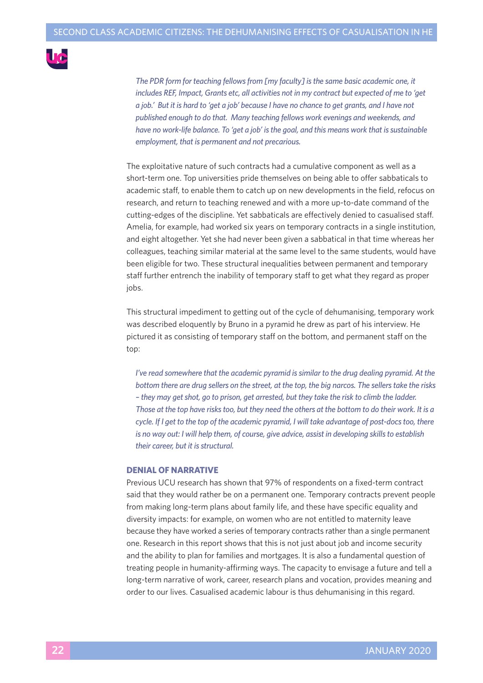

*The PDR form for teaching fellowsfrom [my faculty] isthe same basic academic one, it includes REF, Impact, Grants etc, all activities not in my contract but expected of me to 'get* a job.' But it is hard to 'get a job' because I have no chance to get grants, and I have not *published enough to do that. Many teaching fellows work evenings and weekends, and have no work-life balance. To 'get a job' isthe goal, and this means work that issustainable employment, that is permanent and not precarious.*

The exploitative nature of such contracts had a cumulative component as well as a short-term one. Top universities pride themselves on being able to offer sabbaticals to academic staff, to enable them to catch up on new developments in the field, refocus on research, and return to teaching renewed and with a more up-to-date command of the cutting-edges of the discipline. Yet sabbaticals are effectively denied to casualised staff. Amelia, for example, had worked six years on temporary contracts in a single institution, and eight altogether. Yet she had never been given a sabbatical in that time whereas her colleagues, teaching similar material at the same level to the same students, would have been eligible for two. These structural inequalities between permanent and temporary staff further entrench the inability of temporary staff to get what they regard as proper jobs.

This structural impediment to getting out of the cycle of dehumanising, temporary work was described eloquently by Bruno in a pyramid he drew as part of his interview. He pictured it as consisting of temporary staff on the bottom, and permanent staff on the top:

*I've read somewhere that the academic pyramid issimilar to the drug dealing pyramid. At the bottom there are drug sellers on the street, at the top, the big narcos. The sellerstake the risks – they may getshot, go to prison, get arrested, but they take the risk to climb the ladder.* Those at the top have risks too, but they need the others at the bottom to do their work. It is a *cycle. If I get to the top of the academic pyramid, I will take advantage of post-docstoo, there is no way out: I will help them, of course, give advice, assist in developing skillsto establish their career, but it isstructural.*

#### **DENIAL OF NARRATIVE**

Previous UCU research has shown that 97% of respondents on a fixed-term contract said that they would rather be on a permanent one. Temporary contracts prevent people from making long-term plans about family life, and these have specific equality and diversity impacts: for example, on women who are not entitled to maternity leave because they have worked a series of temporary contracts rather than a single permanent one. Research in this report shows that this is not just about job and income security and the ability to plan for families and mortgages. It is also a fundamental question of treating people in humanity-affirming ways. The capacity to envisage a future and tell a long-term narrative of work, career, research plans and vocation, provides meaning and order to our lives. Casualised academic labour is thus dehumanising in this regard.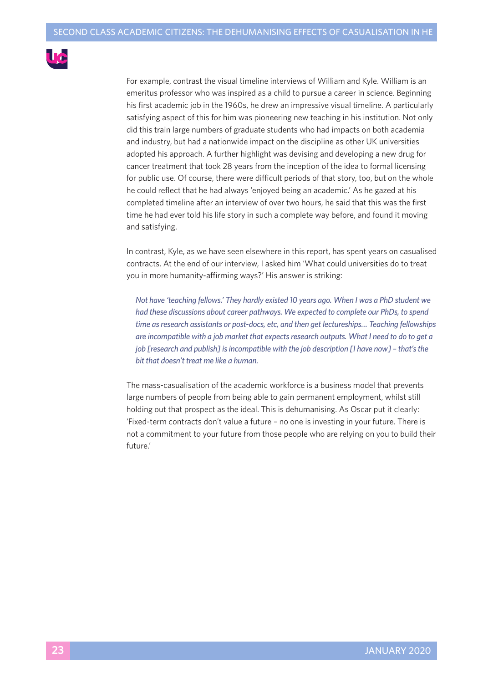

For example, contrast the visual timeline interviews of William and Kyle. William is an emeritus professor who was inspired as a child to pursue a career in science. Beginning his first academic job in the 1960s, he drew an impressive visual timeline. A particularly satisfying aspect of this for him was pioneering new teaching in his institution. Not only did this train large numbers of graduate students who had impacts on both academia and industry, but had a nationwide impact on the discipline as other UK universities adopted his approach. A further highlight was devising and developing a new drug for cancer treatment that took 28 years from the inception of the idea to formal licensing for public use. Of course, there were difficult periods of that story, too, but on the whole he could reflect that he had always 'enjoyed being an academic.' As he gazed at his completed timeline after an interview of over two hours, he said that this was the first time he had ever told his life story in such a complete way before, and found it moving and satisfying.

In contrast, Kyle, as we have seen elsewhere in this report, has spent years on casualised contracts. At the end of our interview, I asked him 'What could universities do to treat you in more humanity-affirming ways?' His answer is striking:

*Not have 'teaching fellows.' They hardly existed 10 years ago. When I was a PhD student we had these discussions about career pathways. We expected to complete our PhDs, to spend time asresearch assistants or post-docs, etc, and then get lectureships… Teaching fellowships are incompatible with a job market that expectsresearch outputs. What I need to do to get a job [research and publish] isincompatible with the job description [I have now] – that'sthe bit that doesn't treat me like a human.*

The mass-casualisation of the academic workforce is a business model that prevents large numbers of people from being able to gain permanent employment, whilst still holding out that prospect as the ideal. This is dehumanising. As Oscar put it clearly: 'Fixed-term contracts don't value a future – no one is investing in your future. There is not a commitment to your future from those people who are relying on you to build their future.'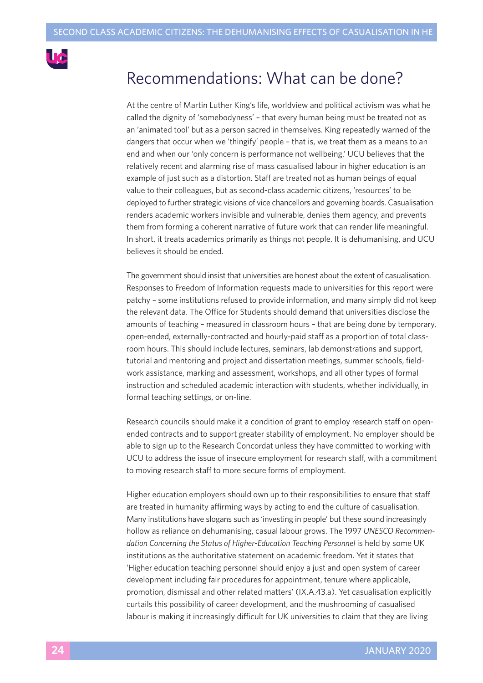

### Recommendations: What can be done?

At the centre of Martin Luther King's life, worldview and political activism was what he called the dignity of 'somebodyness' – that every human being must be treated not as an 'animated tool' but as a person sacred in themselves. King repeatedly warned of the dangers that occur when we 'thingify' people – that is, we treat them as a means to an end and when our 'only concern is performance not wellbeing.' UCU believes that the relatively recent and alarming rise of mass casualised labour in higher education is an example of just such as a distortion. Staff are treated not as human beings of equal value to their colleagues, but as second-class academic citizens, 'resources' to be deployed to further strategic visions of vice chancellors and governing boards. Casualisation renders academic workers invisible and vulnerable, denies them agency, and prevents them from forming a coherent narrative of future work that can render life meaningful. In short, it treats academics primarily as things not people. It is dehumanising, and UCU believes it should be ended.

The government should insist that universities are honest about the extent of casualisation. Responses to Freedom of Information requests made to universities for this report were patchy – some institutions refused to provide information, and many simply did not keep the relevant data. The Office for Students should demand that universities disclose the amounts of teaching – measured in classroom hours – that are being done by temporary, open-ended, externally-contracted and hourly-paid staff as a proportion of total classroom hours. This should include lectures, seminars, lab demonstrations and support, tutorial and mentoring and project and dissertation meetings, summer schools, fieldwork assistance, marking and assessment, workshops, and all other types of formal instruction and scheduled academic interaction with students, whether individually, in formal teaching settings, or on-line.

Research councils should make it a condition of grant to employ research staff on openended contracts and to support greater stability of employment. No employer should be able to sign up to the Research Concordat unless they have committed to working with UCU to address the issue of insecure employment for research staff, with a commitment to moving research staff to more secure forms of employment.

Higher education employers should own up to their responsibilities to ensure that staff are treated in humanity affirming ways by acting to end the culture of casualisation. Many institutions have slogans such as 'investing in people' but these sound increasingly hollow as reliance on dehumanising, casual labour grows. The 1997 *UNESCO Recommendation Concerning the Status of Higher-Education Teaching Personnel* is held by some UK institutions as the authoritative statement on academic freedom. Yet it states that 'Higher education teaching personnel should enjoy a just and open system of career development including fair procedures for appointment, tenure where applicable, promotion, dismissal and other related matters' (IX.A.43.a). Yet casualisation explicitly curtails this possibility of career development, and the mushrooming of casualised labour is making it increasingly difficult for UK universities to claim that they are living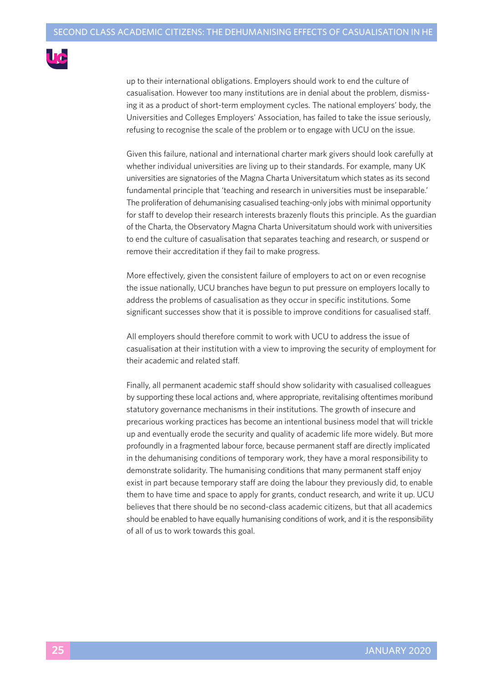

up to their international obligations. Employers should work to end the culture of casualisation. However too many institutions are in denial about the problem, dismissing it as a product of short-term employment cycles. The national employers' body, the Universities and Colleges Employers' Association, has failed to take the issue seriously, refusing to recognise the scale of the problem or to engage with UCU on the issue.

Given this failure, national and international charter mark givers should look carefully at whether individual universities are living up to their standards. For example, many UK universities are signatories of the Magna Charta Universitatum which states as its second fundamental principle that 'teaching and research in universities must be inseparable.' The proliferation of dehumanising casualised teaching-only jobs with minimal opportunity for staff to develop their research interests brazenly flouts this principle. As the guardian of the Charta, the Observatory Magna Charta Universitatum should work with universities to end the culture of casualisation that separates teaching and research, or suspend or remove their accreditation if they fail to make progress.

More effectively, given the consistent failure of employers to act on or even recognise the issue nationally, UCU branches have begun to put pressure on employers locally to address the problems of casualisation as they occur in specific institutions. Some significant successes show that it is possible to improve conditions for casualised staff.

All employers should therefore commit to work with UCU to address the issue of casualisation at their institution with a view to improving the security of employment for their academic and related staff.

Finally, all permanent academic staff should show solidarity with casualised colleagues by supporting these local actions and, where appropriate, revitalising oftentimes moribund statutory governance mechanisms in their institutions. The growth of insecure and precarious working practices has become an intentional business model that will trickle up and eventually erode the security and quality of academic life more widely. But more profoundly in a fragmented labour force, because permanent staff are directly implicated in the dehumanising conditions of temporary work, they have a moral responsibility to demonstrate solidarity. The humanising conditions that many permanent staff enjoy exist in part because temporary staff are doing the labour they previously did, to enable them to have time and space to apply for grants, conduct research, and write it up. UCU believes that there should be no second-class academic citizens, but that all academics should be enabled to have equally humanising conditions of work, and it is the responsibility of all of us to work towards this goal.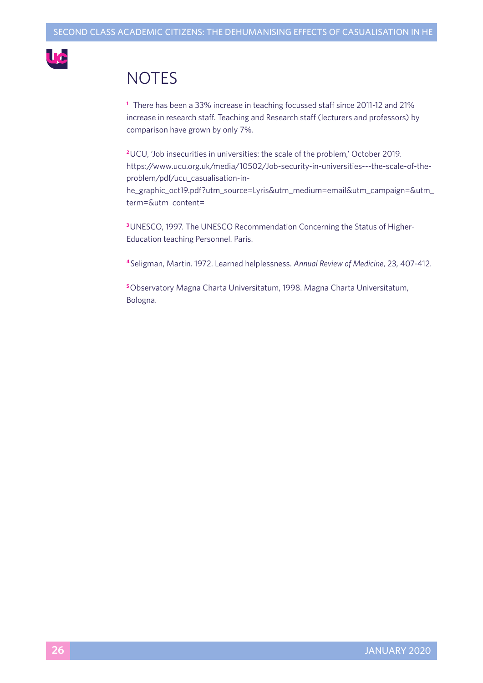

# **NOTES**

**<sup>1</sup>** There has been a 33% increase in teaching focussed staff since 2011-12 and 21% increase in research staff. Teaching and Research staff (lecturers and professors) by comparison have grown by only 7%.

**<sup>2</sup>**UCU, 'Job insecurities in universities: the scale of the problem,' October 2019. https://www.ucu.org.uk/media/10502/Job-security-in-universities---the-scale-of-theproblem/pdf/ucu\_casualisation-inhe\_graphic\_oct19.pdf?utm\_source=Lyris&utm\_medium=email&utm\_campaign=&utm\_

term=&utm\_content=

**<sup>3</sup>**UNESCO, 1997. The UNESCO Recommendation Concerning the Status of Higher-Education teaching Personnel. Paris.

**<sup>4</sup>** Seligman, Martin. 1972. Learned helplessness. *Annual Review of Medicine*, 23, 407-412.

**<sup>5</sup>**Observatory Magna Charta Universitatum, 1998. Magna Charta Universitatum, Bologna.